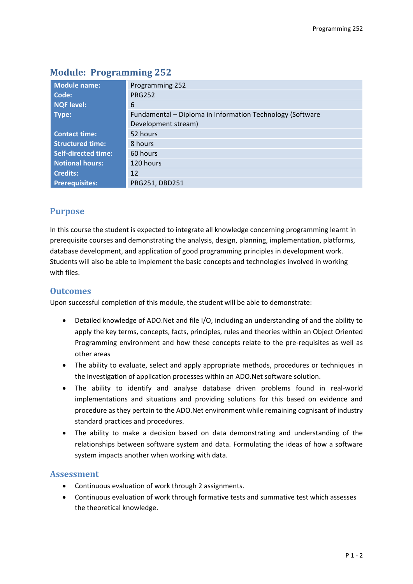| <b>Module name:</b>        | Programming 252                                           |  |  |  |
|----------------------------|-----------------------------------------------------------|--|--|--|
| Code:                      | <b>PRG252</b>                                             |  |  |  |
| <b>NQF level:</b>          | 6                                                         |  |  |  |
| Type:                      | Fundamental - Diploma in Information Technology (Software |  |  |  |
|                            | Development stream)                                       |  |  |  |
| <b>Contact time:</b>       | 52 hours                                                  |  |  |  |
| <b>Structured time:</b>    | 8 hours                                                   |  |  |  |
| <b>Self-directed time:</b> | 60 hours                                                  |  |  |  |
| <b>Notional hours:</b>     | 120 hours                                                 |  |  |  |
| <b>Credits:</b>            | 12                                                        |  |  |  |
| <b>Prerequisites:</b>      | PRG251, DBD251                                            |  |  |  |

# **Module: Programming 252**

# **Purpose**

In this course the student is expected to integrate all knowledge concerning programming learnt in prerequisite courses and demonstrating the analysis, design, planning, implementation, platforms, database development, and application of good programming principles in development work. Students will also be able to implement the basic concepts and technologies involved in working with files.

### **Outcomes**

Upon successful completion of this module, the student will be able to demonstrate:

- Detailed knowledge of ADO.Net and file I/O, including an understanding of and the ability to apply the key terms, concepts, facts, principles, rules and theories within an Object Oriented Programming environment and how these concepts relate to the pre-requisites as well as other areas
- The ability to evaluate, select and apply appropriate methods, procedures or techniques in the investigation of application processes within an ADO.Net software solution.
- The ability to identify and analyse database driven problems found in real-world implementations and situations and providing solutions for this based on evidence and procedure as they pertain to the ADO.Net environment while remaining cognisant of industry standard practices and procedures.
- The ability to make a decision based on data demonstrating and understanding of the relationships between software system and data. Formulating the ideas of how a software system impacts another when working with data.

# **Assessment**

- Continuous evaluation of work through 2 assignments.
- Continuous evaluation of work through formative tests and summative test which assesses the theoretical knowledge.